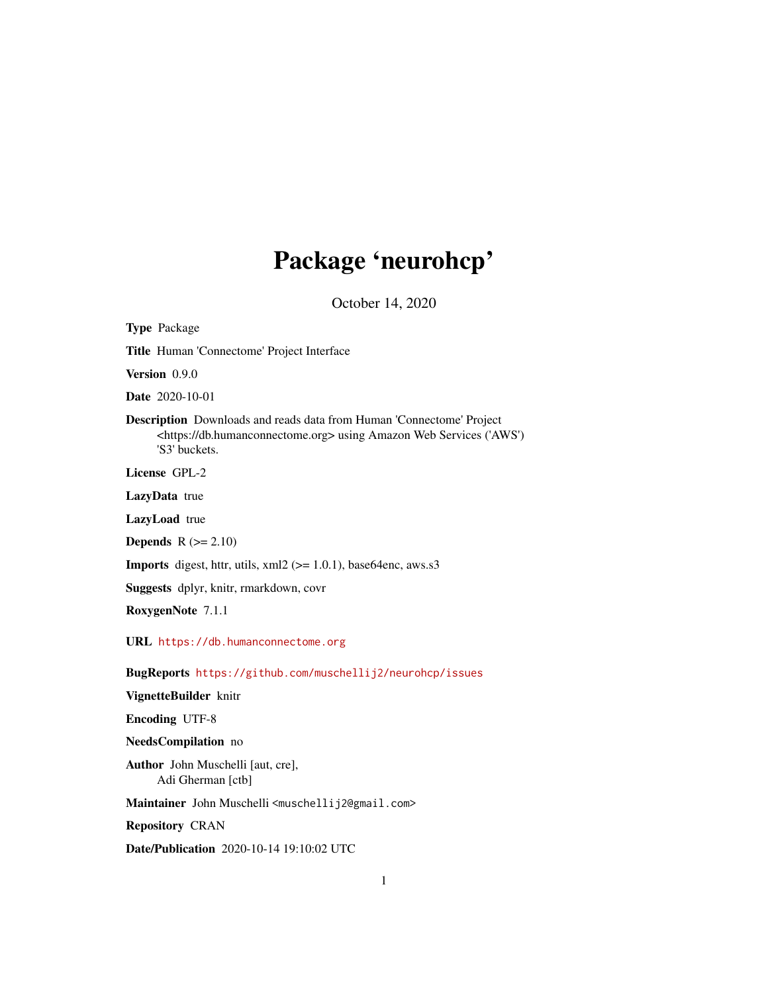# Package 'neurohcp'

October 14, 2020

<span id="page-0-0"></span>Type Package Title Human 'Connectome' Project Interface Version 0.9.0 Date 2020-10-01 Description Downloads and reads data from Human 'Connectome' Project <https://db.humanconnectome.org> using Amazon Web Services ('AWS') 'S3' buckets. License GPL-2 LazyData true LazyLoad true **Depends**  $R$  ( $>= 2.10$ ) **Imports** digest, httr, utils,  $xml2$  ( $>= 1.0.1$ ), base64enc, aws.s3 Suggests dplyr, knitr, rmarkdown, covr RoxygenNote 7.1.1 URL <https://db.humanconnectome.org> BugReports <https://github.com/muschellij2/neurohcp/issues> VignetteBuilder knitr Encoding UTF-8 NeedsCompilation no Author John Muschelli [aut, cre], Adi Gherman [ctb] Maintainer John Muschelli <muschellij2@gmail.com> Repository CRAN Date/Publication 2020-10-14 19:10:02 UTC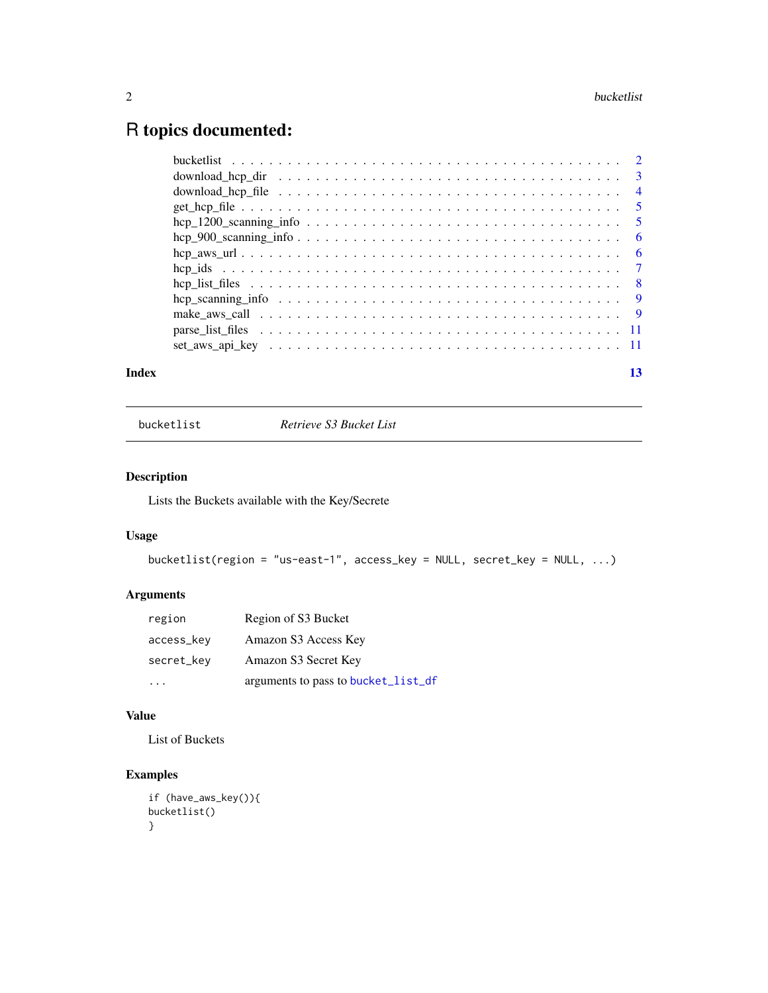# <span id="page-1-0"></span>R topics documented:

| Index | 13 |
|-------|----|
|       |    |
|       |    |
|       |    |
|       |    |
|       |    |
|       |    |
|       |    |
|       |    |
|       |    |
|       |    |
|       |    |
|       |    |
|       |    |

bucketlist *Retrieve S3 Bucket List*

# Description

Lists the Buckets available with the Key/Secrete

# Usage

```
bucketlist(region = "us-east-1", access_key = NULL, secret_key = NULL, ...)
```
# Arguments

| region     | Region of S3 Bucket                 |
|------------|-------------------------------------|
| access_key | Amazon S3 Access Key                |
| secret_key | Amazon S3 Secret Key                |
|            | arguments to pass to bucket_list_df |

# Value

List of Buckets

```
if (have_aws_key()){
bucketlist()
}
```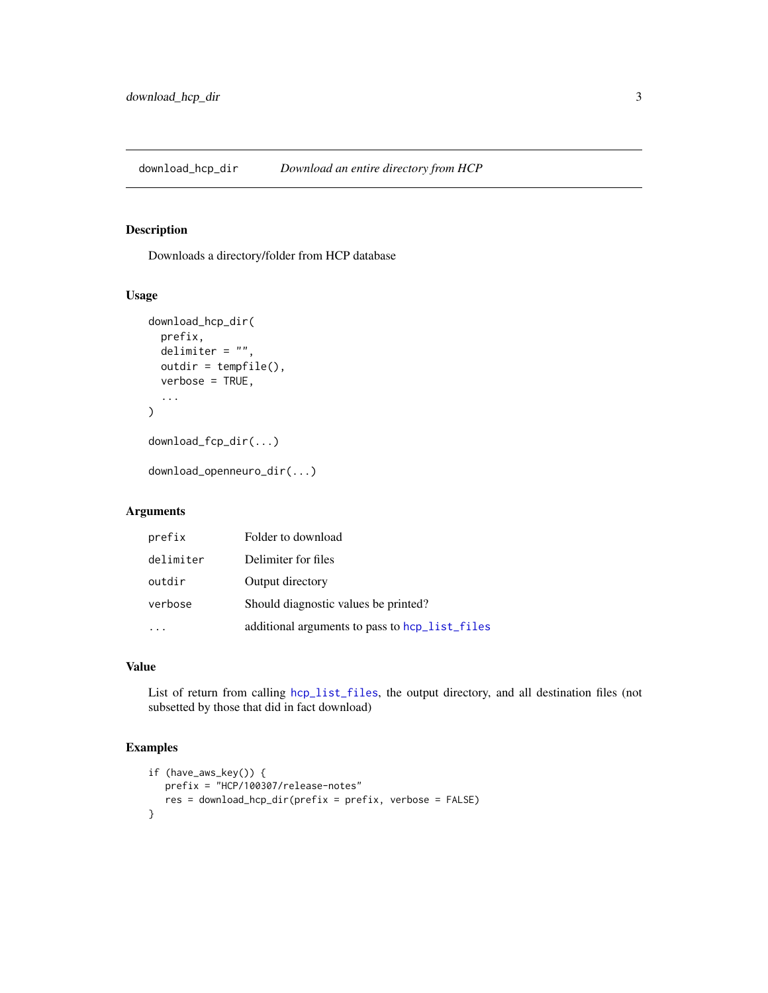<span id="page-2-0"></span>download\_hcp\_dir *Download an entire directory from HCP*

# Description

Downloads a directory/folder from HCP database

# Usage

```
download_hcp_dir(
  prefix,
 delimiter = "",
  outdir = tempfile(),
  verbose = TRUE,
  ...
)
```
download\_fcp\_dir(...)

download\_openneuro\_dir(...)

# Arguments

| prefix    | Folder to download                             |
|-----------|------------------------------------------------|
| delimiter | Delimiter for files                            |
| outdir    | Output directory                               |
| verbose   | Should diagnostic values be printed?           |
|           | additional arguments to pass to hcp_list_files |

# Value

List of return from calling [hcp\\_list\\_files](#page-7-1), the output directory, and all destination files (not subsetted by those that did in fact download)

```
if (have_aws_key()) {
  prefix = "HCP/100307/release-notes"
  res = download_hcp_dir(prefix = prefix, verbose = FALSE)
}
```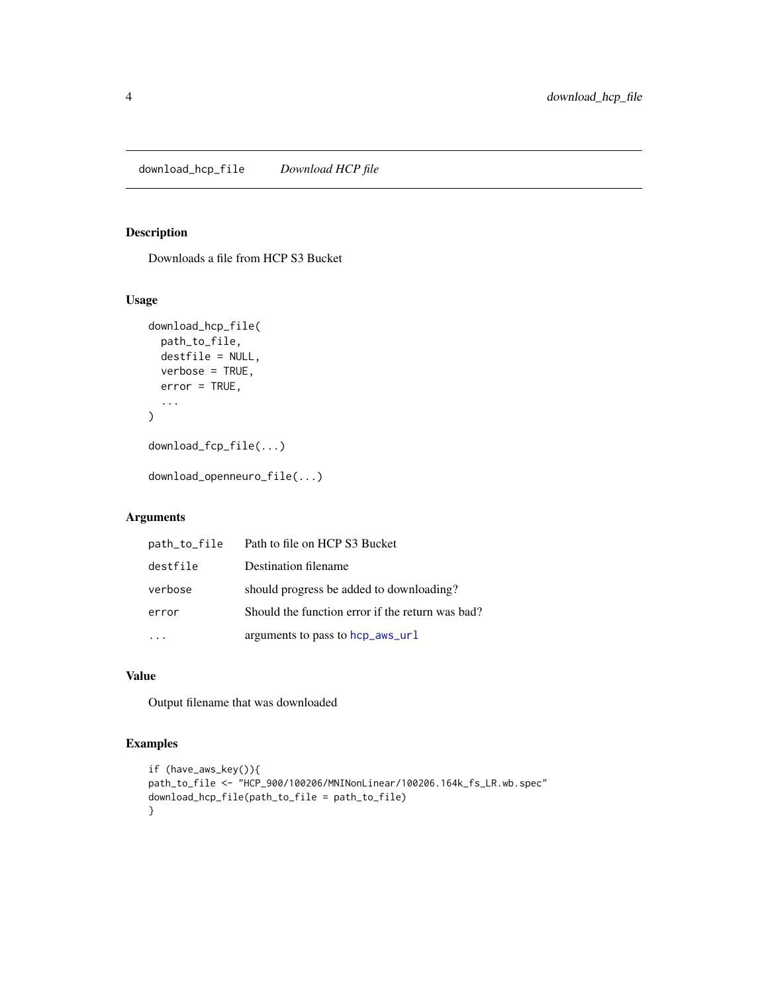# <span id="page-3-0"></span>Description

Downloads a file from HCP S3 Bucket

# Usage

```
download_hcp_file(
  path_to_file,
  destfile = NULL,
  verbose = TRUE,
  error = TRUE,
  ...
\mathcal{L}download_fcp_file(...)
```
download\_openneuro\_file(...)

# Arguments

| path_to_file | Path to file on HCP S3 Bucket                    |
|--------------|--------------------------------------------------|
| destfile     | Destination filename                             |
| verbose      | should progress be added to downloading?         |
| error        | Should the function error if the return was bad? |
|              | arguments to pass to hcp_aws_url                 |

# Value

Output filename that was downloaded

```
if (have_aws_key()){
path_to_file <- "HCP_900/100206/MNINonLinear/100206.164k_fs_LR.wb.spec"
download_hcp_file(path_to_file = path_to_file)
}
```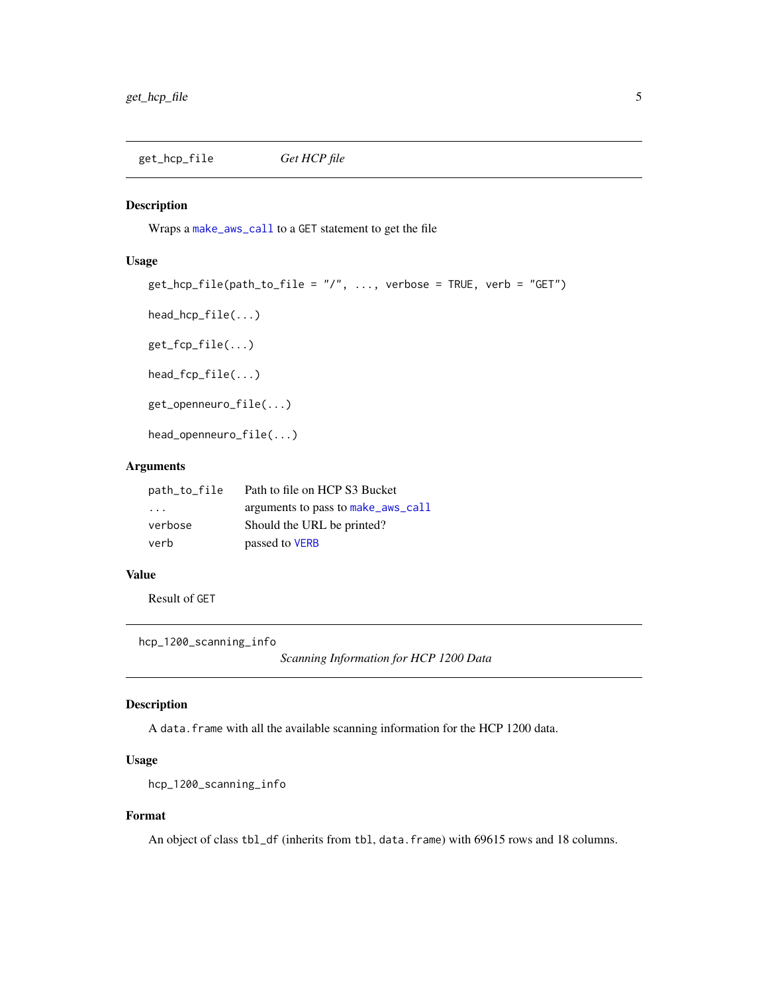<span id="page-4-1"></span><span id="page-4-0"></span>get\_hcp\_file *Get HCP file*

#### Description

Wraps a [make\\_aws\\_call](#page-8-1) to a GET statement to get the file

# Usage

```
get_hcp_file(path_to_file = "/", ..., verbose = TRUE, verb = "GET")
```
head\_hcp\_file(...)

get\_fcp\_file(...)

head\_fcp\_file(...)

get\_openneuro\_file(...)

head\_openneuro\_file(...)

## Arguments

| path_to_file            | Path to file on HCP S3 Bucket      |
|-------------------------|------------------------------------|
| $\cdot$ $\cdot$ $\cdot$ | arguments to pass to make_aws_call |
| verbose                 | Should the URL be printed?         |
| verb                    | passed to VERB                     |

# Value

Result of GET

hcp\_1200\_scanning\_info

*Scanning Information for HCP 1200 Data*

# Description

A data. frame with all the available scanning information for the HCP 1200 data.

## Usage

```
hcp_1200_scanning_info
```
# Format

An object of class tbl\_df (inherits from tbl, data.frame) with 69615 rows and 18 columns.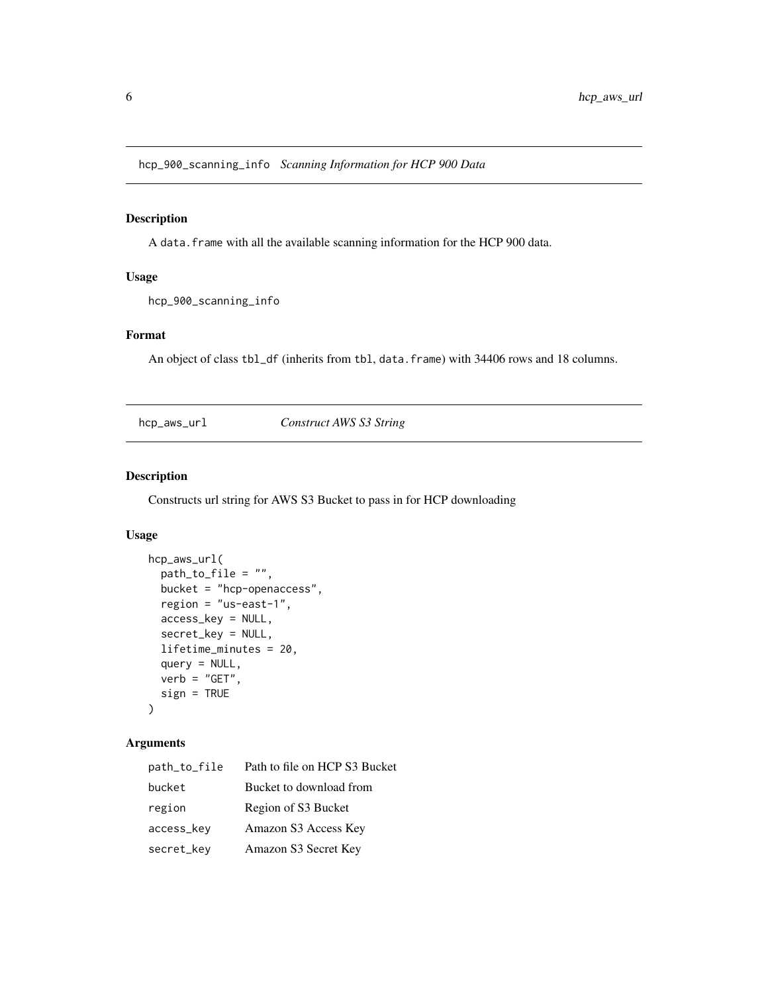<span id="page-5-0"></span>hcp\_900\_scanning\_info *Scanning Information for HCP 900 Data*

# Description

A data.frame with all the available scanning information for the HCP 900 data.

# Usage

hcp\_900\_scanning\_info

# Format

An object of class tbl\_df (inherits from tbl, data.frame) with 34406 rows and 18 columns.

<span id="page-5-1"></span>hcp\_aws\_url *Construct AWS S3 String*

# Description

Constructs url string for AWS S3 Bucket to pass in for HCP downloading

# Usage

```
hcp_aws_url(
 path_to_file = "",bucket = "hcp-openaccess",
 region = "us-east-1",
 access_key = NULL,
  secret_key = NULL,
  lifetime_minutes = 20,
 query = NULL,
 verb = "GET",sign = TRUE
)
```
# Arguments

| path_to_file | Path to file on HCP S3 Bucket |
|--------------|-------------------------------|
| bucket       | Bucket to download from       |
| region       | Region of S3 Bucket           |
| access_key   | Amazon S3 Access Key          |
| secret_key   | Amazon S3 Secret Key          |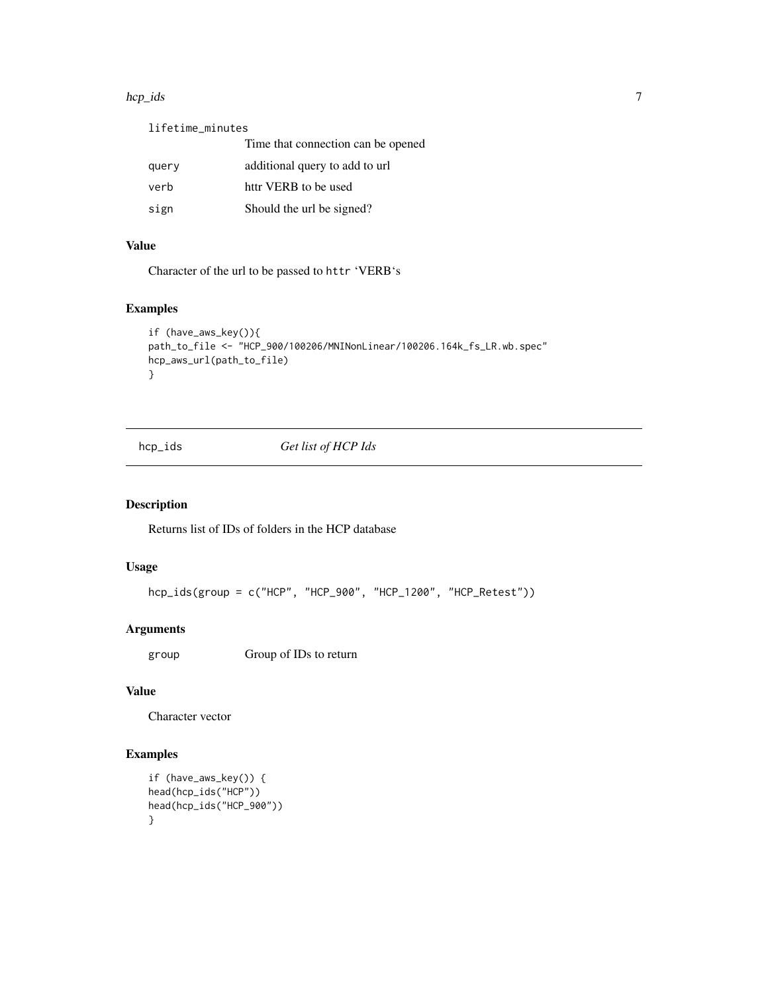#### <span id="page-6-0"></span>hcp\_ids 7

| lifetime_minutes |                                    |
|------------------|------------------------------------|
|                  | Time that connection can be opened |
| query            | additional query to add to url     |
| verb             | httr VERB to be used               |
| sign             | Should the url be signed?          |

# Value

Character of the url to be passed to httr 'VERB's

# Examples

```
if (have_aws_key()){
path_to_file <- "HCP_900/100206/MNINonLinear/100206.164k_fs_LR.wb.spec"
hcp_aws_url(path_to_file)
}
```
# hcp\_ids *Get list of HCP Ids*

# Description

Returns list of IDs of folders in the HCP database

# Usage

```
hcp_ids(group = c("HCP", "HCP_900", "HCP_1200", "HCP_Retest"))
```
# Arguments

group Group of IDs to return

# Value

Character vector

```
if (have_aws_key()) {
head(hcp_ids("HCP"))
head(hcp_ids("HCP_900"))
}
```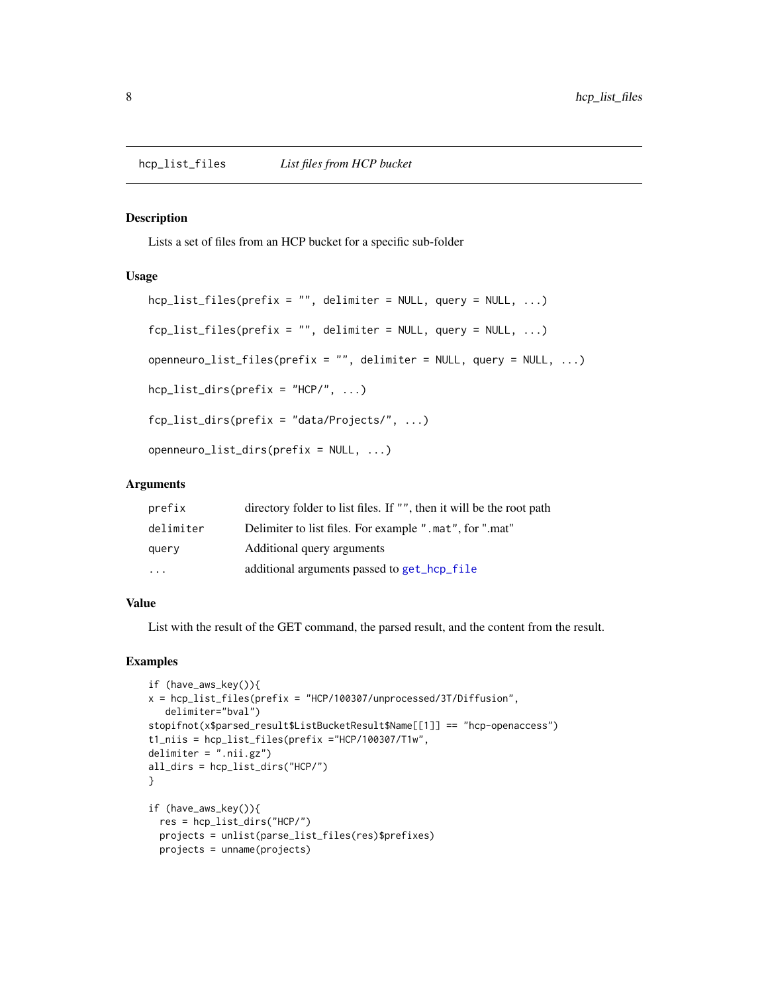#### <span id="page-7-1"></span><span id="page-7-0"></span>Description

Lists a set of files from an HCP bucket for a specific sub-folder

# Usage

```
hop_list_files(prefix = "", delimiter = NULL, query = NULL, ...)fcp\_list\_files(prefix = "", delimiter = NULL, query = NULL, ...)openneuro_list_files(prefix = "", delimiter = NULL, query = NULL, ...)
```

```
hep_{{\text{list\_dirs}}(prefix = "HCP/", ...)}
```

```
fcp_list_dirs(prefix = "data/Projects/", ...)
```

```
openneuro_list_dirs(prefix = NULL, ...)
```
# Arguments

| prefix    | directory folder to list files. If "", then it will be the root path |
|-----------|----------------------------------------------------------------------|
| delimiter | Delimiter to list files. For example ".mat", for ".mat"              |
| query     | Additional query arguments                                           |
| $\ddotsc$ | additional arguments passed to get_hcp_file                          |

# Value

List with the result of the GET command, the parsed result, and the content from the result.

```
if (have_aws_key()){
x = \text{hcp\_list\_files(prefix = "HCP/100307/unprocessed/3T/Diffusion",}delimiter="bval")
stopifnot(x$parsed_result$ListBucketResult$Name[[1]] == "hcp-openaccess")
t1_niis = hcp_list_files(prefix ="HCP/100307/T1w",
delimiter = ",\nmin,gz")all_dirs = hcp_list_dirs("HCP/")
}
if (have_aws_key()){
  res = hcp_list_dirs("HCP/")
  projects = unlist(parse_list_files(res)$prefixes)
  projects = unname(projects)
```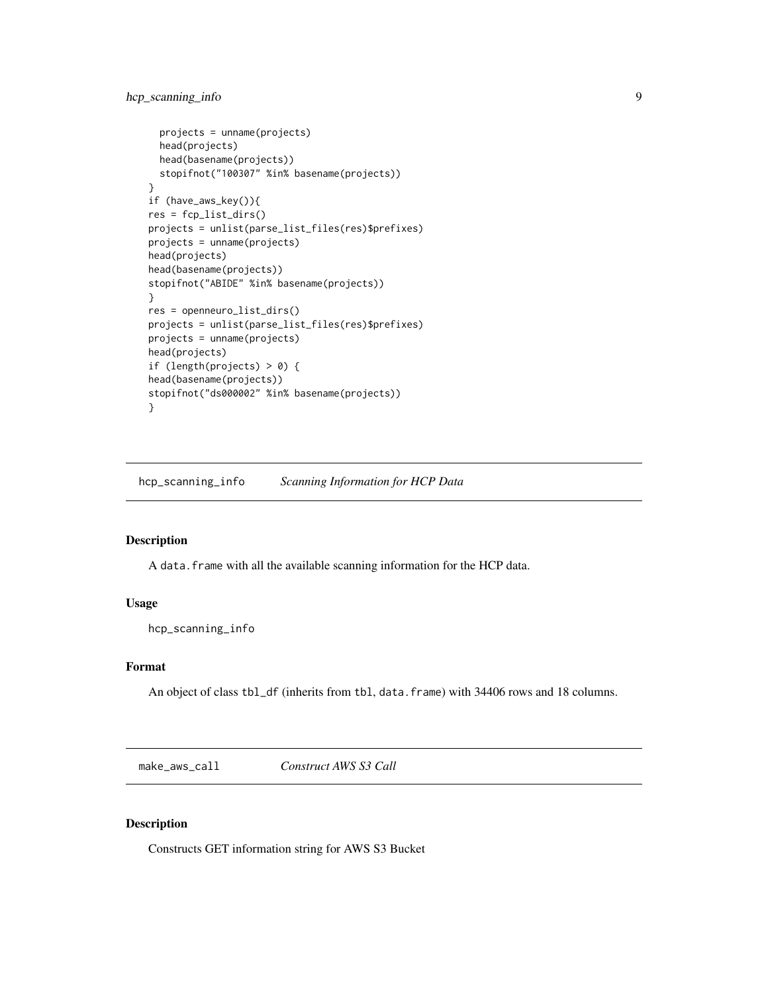# <span id="page-8-0"></span>hcp\_scanning\_info 9

```
projects = unname(projects)
  head(projects)
  head(basename(projects))
  stopifnot("100307" %in% basename(projects))
}
if (have_aws_key()){
res = fcp_list_dirs()
projects = unlist(parse_list_files(res)$prefixes)
projects = unname(projects)
head(projects)
head(basename(projects))
stopifnot("ABIDE" %in% basename(projects))
}
res = openneuro_list_dirs()
projects = unlist(parse_list_files(res)$prefixes)
projects = unname(projects)
head(projects)
if (length(projects) > 0) {
head(basename(projects))
stopifnot("ds000002" %in% basename(projects))
}
```
hcp\_scanning\_info *Scanning Information for HCP Data*

# Description

A data.frame with all the available scanning information for the HCP data.

## Usage

hcp\_scanning\_info

# Format

An object of class tbl\_df (inherits from tbl, data.frame) with 34406 rows and 18 columns.

<span id="page-8-1"></span>make\_aws\_call *Construct AWS S3 Call*

#### Description

Constructs GET information string for AWS S3 Bucket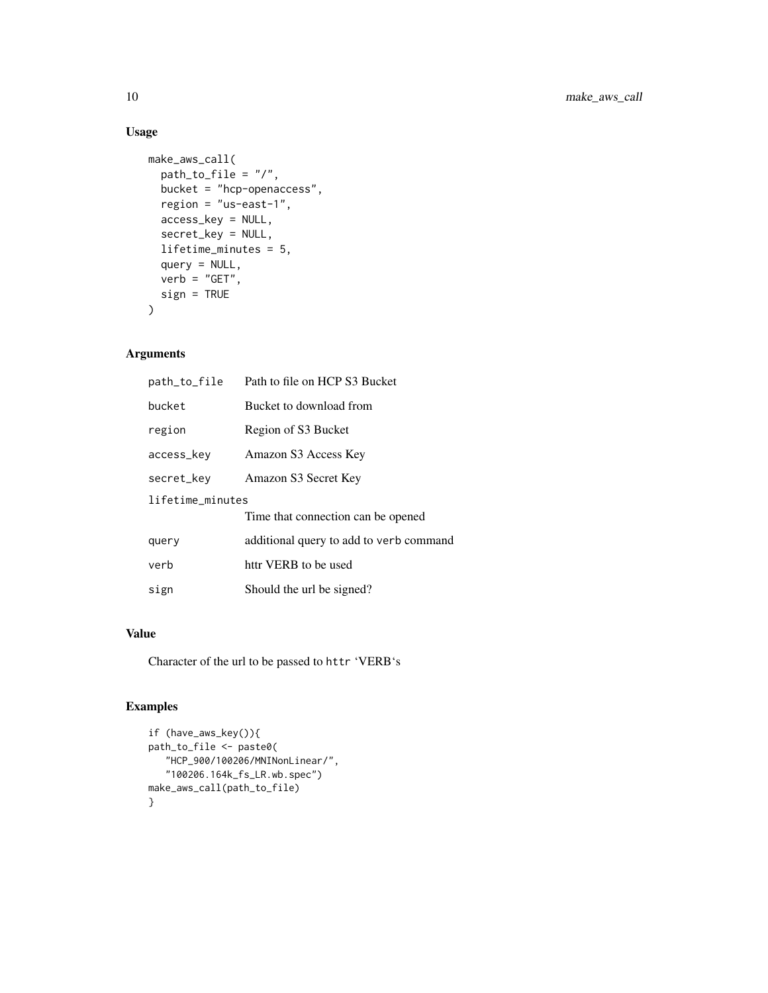# Usage

```
make_aws_call(
  path_to_file = "/",
  bucket = "hcp-openaccess",
  region = "us-east-1",
  access_key = NULL,
  secret_key = NULL,
  lifetime_minutes = 5,
  query = NULL,
  verb = "GET",sign = TRUE
\mathcal{L}
```
# Arguments

| path_to_file     | Path to file on HCP S3 Bucket           |  |
|------------------|-----------------------------------------|--|
| bucket           | Bucket to download from                 |  |
| region           | Region of S3 Bucket                     |  |
| access_key       | Amazon S3 Access Key                    |  |
| secret_key       | Amazon S3 Secret Key                    |  |
| lifetime_minutes |                                         |  |
|                  | Time that connection can be opened      |  |
| query            | additional query to add to verb command |  |
| verb             | httr VERB to be used                    |  |
| sign             | Should the url be signed?               |  |

# Value

Character of the url to be passed to httr 'VERB's

```
if (have_aws_key()){
path_to_file <- paste0(
   "HCP_900/100206/MNINonLinear/",
   "100206.164k_fs_LR.wb.spec")
make_aws_call(path_to_file)
}
```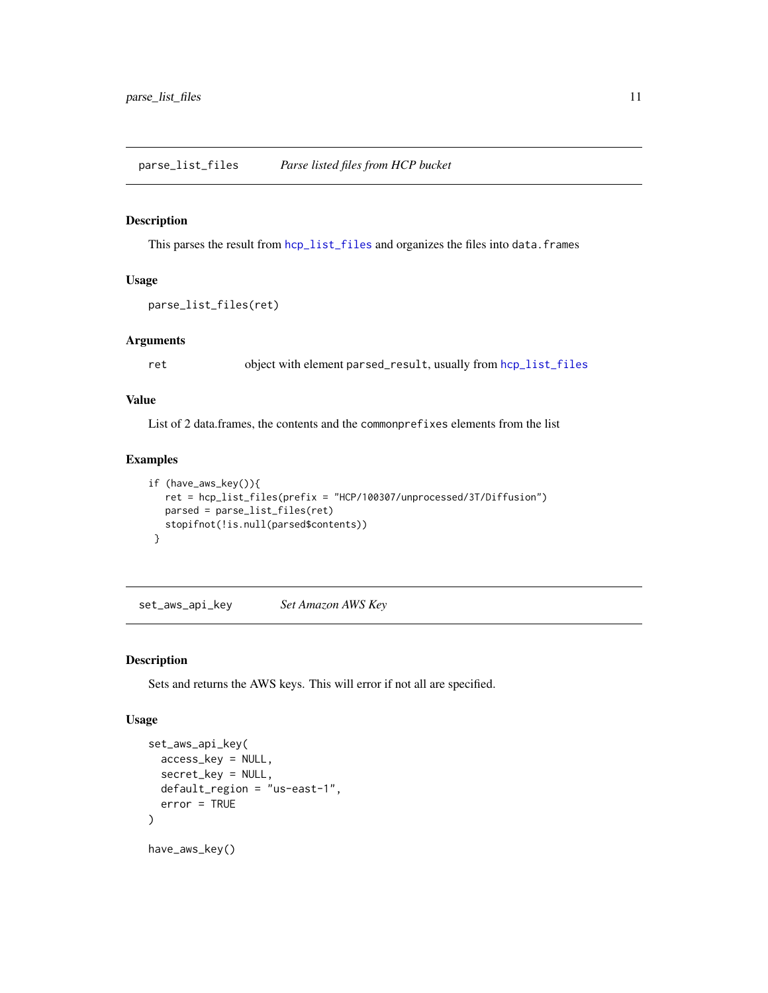# <span id="page-10-0"></span>Description

This parses the result from [hcp\\_list\\_files](#page-7-1) and organizes the files into data.frames

#### Usage

```
parse_list_files(ret)
```
## Arguments

ret object with element parsed\_result, usually from [hcp\\_list\\_files](#page-7-1)

# Value

List of 2 data.frames, the contents and the commonprefixes elements from the list

#### Examples

```
if (have_aws_key()){
  ret = hcp_list_files(prefix = "HCP/100307/unprocessed/3T/Diffusion")
  parsed = parse_list_files(ret)
  stopifnot(!is.null(parsed$contents))
}
```
set\_aws\_api\_key *Set Amazon AWS Key*

#### Description

Sets and returns the AWS keys. This will error if not all are specified.

# Usage

```
set_aws_api_key(
  access_key = NULL,
  secret_key = NULL,
  default_region = "us-east-1",
  error = TRUE
)
have_aws_key()
```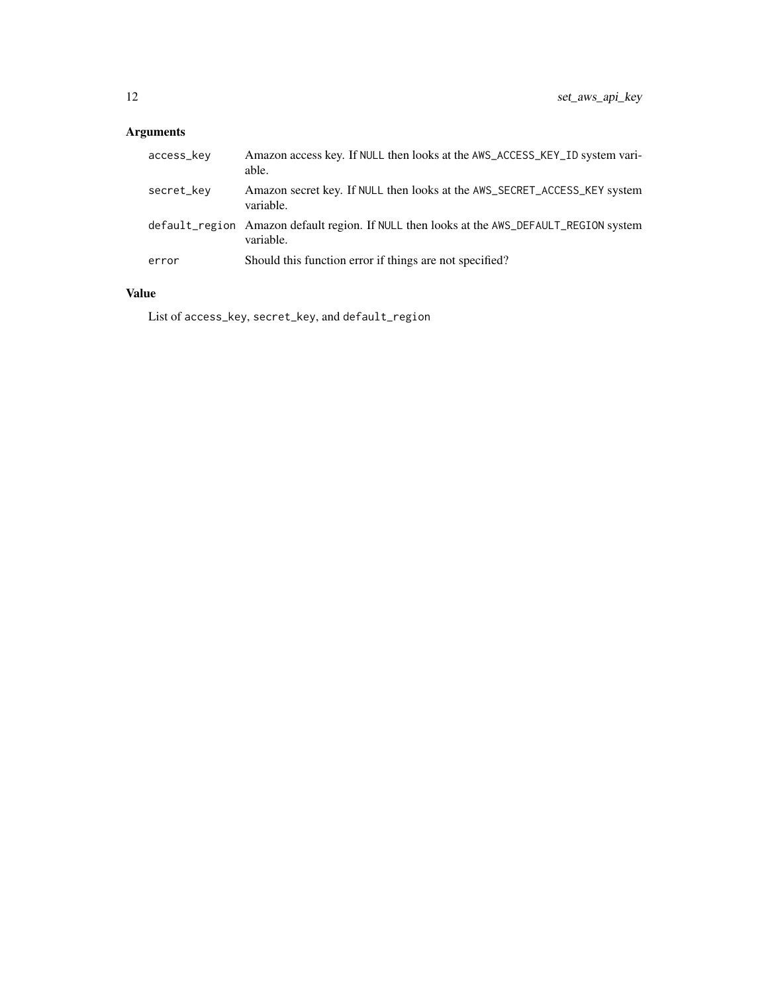# Arguments

| access_key | Amazon access key. If NULL then looks at the AWS_ACCESS_KEY_ID system vari-<br>able.                   |
|------------|--------------------------------------------------------------------------------------------------------|
| secret_key | Amazon secret key. If NULL then looks at the AWS_SECRET_ACCESS_KEY system<br>variable.                 |
|            | default_region Amazon default region. If NULL then looks at the AWS_DEFAULT_REGION system<br>variable. |
| error      | Should this function error if things are not specified?                                                |

# Value

List of access\_key, secret\_key, and default\_region